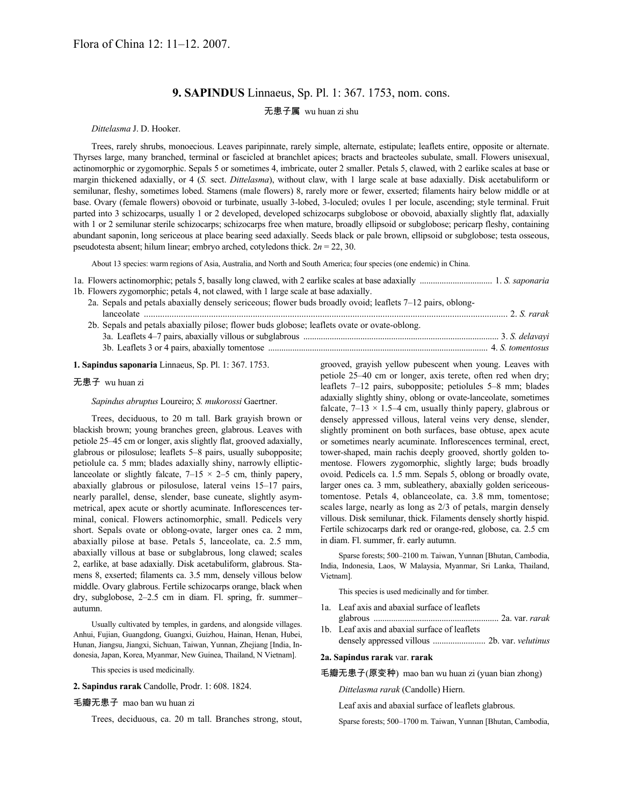# **9. SAPINDUS** Linnaeus, Sp. Pl. 1: 367. 1753, nom. cons.

## 无患子属 wu huan zi shu

### *Dittelasma* J. D. Hooker.

Trees, rarely shrubs, monoecious. Leaves paripinnate, rarely simple, alternate, estipulate; leaflets entire, opposite or alternate. Thyrses large, many branched, terminal or fascicled at branchlet apices; bracts and bracteoles subulate, small. Flowers unisexual, actinomorphic or zygomorphic. Sepals 5 or sometimes 4, imbricate, outer 2 smaller. Petals 5, clawed, with 2 earlike scales at base or margin thickened adaxially, or 4 (*S.* sect. *Dittelasma*), without claw, with 1 large scale at base adaxially. Disk acetabuliform or semilunar, fleshy, sometimes lobed. Stamens (male flowers) 8, rarely more or fewer, exserted; filaments hairy below middle or at base. Ovary (female flowers) obovoid or turbinate, usually 3-lobed, 3-loculed; ovules 1 per locule, ascending; style terminal. Fruit parted into 3 schizocarps, usually 1 or 2 developed, developed schizocarps subglobose or obovoid, abaxially slightly flat, adaxially with 1 or 2 semilunar sterile schizocarps; schizocarps free when mature, broadly ellipsoid or subglobose; pericarp fleshy, containing abundant saponin, long sericeous at place bearing seed adaxially. Seeds black or pale brown, ellipsoid or subglobose; testa osseous, pseudotesta absent; hilum linear; embryo arched, cotyledons thick.  $2n = 22, 30$ .

About 13 species: warm regions of Asia, Australia, and North and South America; four species (one endemic) in China.

1a. Flowers actinomorphic; petals 5, basally long clawed, with 2 earlike scales at base adaxially ................................. 1. *S. saponaria* 1b. Flowers zygomorphic; petals 4, not clawed, with 1 large scale at base adaxially.

2a. Sepals and petals abaxially densely sericeous; flower buds broadly ovoid; leaflets 7–12 pairs, oblong-

| 2b. Sepals and petals abaxially pilose; flower buds globose; leaflets ovate or ovate-oblong. |  |
|----------------------------------------------------------------------------------------------|--|
|                                                                                              |  |
|                                                                                              |  |

**1. Sapindus saponaria** Linnaeus, Sp. Pl. 1: 367. 1753.

#### 无患子 wu huan zi

*Sapindus abruptus* Loureiro; *S. mukorossi* Gaertner.

Trees, deciduous, to 20 m tall. Bark grayish brown or blackish brown; young branches green, glabrous. Leaves with petiole 25–45 cm or longer, axis slightly flat, grooved adaxially, glabrous or pilosulose; leaflets 5–8 pairs, usually subopposite; petiolule ca. 5 mm; blades adaxially shiny, narrowly ellipticlanceolate or slightly falcate,  $7-15 \times 2-5$  cm, thinly papery, abaxially glabrous or pilosulose, lateral veins 15–17 pairs, nearly parallel, dense, slender, base cuneate, slightly asymmetrical, apex acute or shortly acuminate. Inflorescences terminal, conical. Flowers actinomorphic, small. Pedicels very short. Sepals ovate or oblong-ovate, larger ones ca. 2 mm, abaxially pilose at base. Petals 5, lanceolate, ca. 2.5 mm, abaxially villous at base or subglabrous, long clawed; scales 2, earlike, at base adaxially. Disk acetabuliform, glabrous. Stamens 8, exserted; filaments ca. 3.5 mm, densely villous below middle. Ovary glabrous. Fertile schizocarps orange, black when dry, subglobose, 2–2.5 cm in diam. Fl. spring, fr. summer– autumn.

Usually cultivated by temples, in gardens, and alongside villages. Anhui, Fujian, Guangdong, Guangxi, Guizhou, Hainan, Henan, Hubei, Hunan, Jiangsu, Jiangxi, Sichuan, Taiwan, Yunnan, Zhejiang [India, Indonesia, Japan, Korea, Myanmar, New Guinea, Thailand, N Vietnam].

This species is used medicinally.

**2. Sapindus rarak** Candolle, Prodr. 1: 608. 1824.

#### 毛瓣无患子 mao ban wu huan zi

Trees, deciduous, ca. 20 m tall. Branches strong, stout,

grooved, grayish yellow pubescent when young. Leaves with petiole 25–40 cm or longer, axis terete, often red when dry; leaflets 7–12 pairs, subopposite; petiolules 5–8 mm; blades adaxially slightly shiny, oblong or ovate-lanceolate, sometimes falcate,  $7-13 \times 1.5-4$  cm, usually thinly papery, glabrous or densely appressed villous, lateral veins very dense, slender, slightly prominent on both surfaces, base obtuse, apex acute or sometimes nearly acuminate. Inflorescences terminal, erect, tower-shaped, main rachis deeply grooved, shortly golden tomentose. Flowers zygomorphic, slightly large; buds broadly ovoid. Pedicels ca. 1.5 mm. Sepals 5, oblong or broadly ovate, larger ones ca. 3 mm, subleathery, abaxially golden sericeoustomentose. Petals 4, oblanceolate, ca. 3.8 mm, tomentose; scales large, nearly as long as 2/3 of petals, margin densely villous. Disk semilunar, thick. Filaments densely shortly hispid. Fertile schizocarps dark red or orange-red, globose, ca. 2.5 cm in diam. Fl. summer, fr. early autumn.

Sparse forests; 500–2100 m. Taiwan, Yunnan [Bhutan, Cambodia, India, Indonesia, Laos, W Malaysia, Myanmar, Sri Lanka, Thailand, Vietnam].

This species is used medicinally and for timber.

- 1a. Leaf axis and abaxial surface of leaflets glabrous ......................................................... 2a. var. *rarak*
- 1b. Leaf axis and abaxial surface of leaflets densely appressed villous ........................ 2b. var. *velutinus*

#### **2a. Sapindus rarak** var. **rarak**

毛瓣无患子(原变种) mao ban wu huan zi (yuan bian zhong)

*Dittelasma rarak* (Candolle) Hiern.

Leaf axis and abaxial surface of leaflets glabrous.

Sparse forests; 500–1700 m. Taiwan, Yunnan [Bhutan, Cambodia,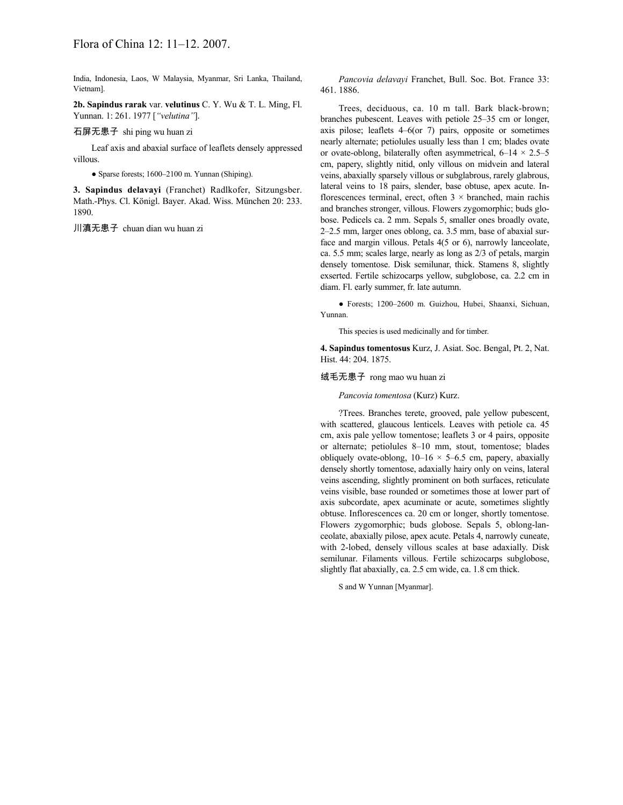India, Indonesia, Laos, W Malaysia, Myanmar, Sri Lanka, Thailand, Vietnam].

**2b. Sapindus rarak** var. **velutinus** C. Y. Wu & T. L. Ming, Fl. Yunnan. 1: 261. 1977 [*"velutina"*].

### 石屏无患子 shi ping wu huan zi

Leaf axis and abaxial surface of leaflets densely appressed villous.

● Sparse forests; 1600–2100 m. Yunnan (Shiping).

**3. Sapindus delavayi** (Franchet) Radlkofer, Sitzungsber. Math.-Phys. Cl. Königl. Bayer. Akad. Wiss. München 20: 233. 1890.

川滇无患子 chuan dian wu huan zi

*Pancovia delavayi* Franchet, Bull. Soc. Bot. France 33: 461. 1886.

Trees, deciduous, ca. 10 m tall. Bark black-brown; branches pubescent. Leaves with petiole 25–35 cm or longer, axis pilose; leaflets 4–6(or 7) pairs, opposite or sometimes nearly alternate; petiolules usually less than 1 cm; blades ovate or ovate-oblong, bilaterally often asymmetrical,  $6-14 \times 2.5-5$ cm, papery, slightly nitid, only villous on midvein and lateral veins, abaxially sparsely villous or subglabrous, rarely glabrous, lateral veins to 18 pairs, slender, base obtuse, apex acute. Inflorescences terminal, erect, often  $3 \times$  branched, main rachis and branches stronger, villous. Flowers zygomorphic; buds globose. Pedicels ca. 2 mm. Sepals 5, smaller ones broadly ovate, 2–2.5 mm, larger ones oblong, ca. 3.5 mm, base of abaxial surface and margin villous. Petals 4(5 or 6), narrowly lanceolate, ca. 5.5 mm; scales large, nearly as long as 2/3 of petals, margin densely tomentose. Disk semilunar, thick. Stamens 8, slightly exserted. Fertile schizocarps yellow, subglobose, ca. 2.2 cm in diam. Fl. early summer, fr. late autumn.

● Forests; 1200–2600 m. Guizhou, Hubei, Shaanxi, Sichuan, Yunnan.

This species is used medicinally and for timber.

**4. Sapindus tomentosus** Kurz, J. Asiat. Soc. Bengal, Pt. 2, Nat. Hist. 44: 204. 1875.

#### 绒毛无患子 rong mao wu huan zi

*Pancovia tomentosa* (Kurz) Kurz.

?Trees. Branches terete, grooved, pale yellow pubescent, with scattered, glaucous lenticels. Leaves with petiole ca. 45 cm, axis pale yellow tomentose; leaflets 3 or 4 pairs, opposite or alternate; petiolules 8–10 mm, stout, tomentose; blades obliquely ovate-oblong,  $10-16 \times 5-6.5$  cm, papery, abaxially densely shortly tomentose, adaxially hairy only on veins, lateral veins ascending, slightly prominent on both surfaces, reticulate veins visible, base rounded or sometimes those at lower part of axis subcordate, apex acuminate or acute, sometimes slightly obtuse. Inflorescences ca. 20 cm or longer, shortly tomentose. Flowers zygomorphic; buds globose. Sepals 5, oblong-lanceolate, abaxially pilose, apex acute. Petals 4, narrowly cuneate, with 2-lobed, densely villous scales at base adaxially. Disk semilunar. Filaments villous. Fertile schizocarps subglobose, slightly flat abaxially, ca. 2.5 cm wide, ca. 1.8 cm thick.

S and W Yunnan [Myanmar].